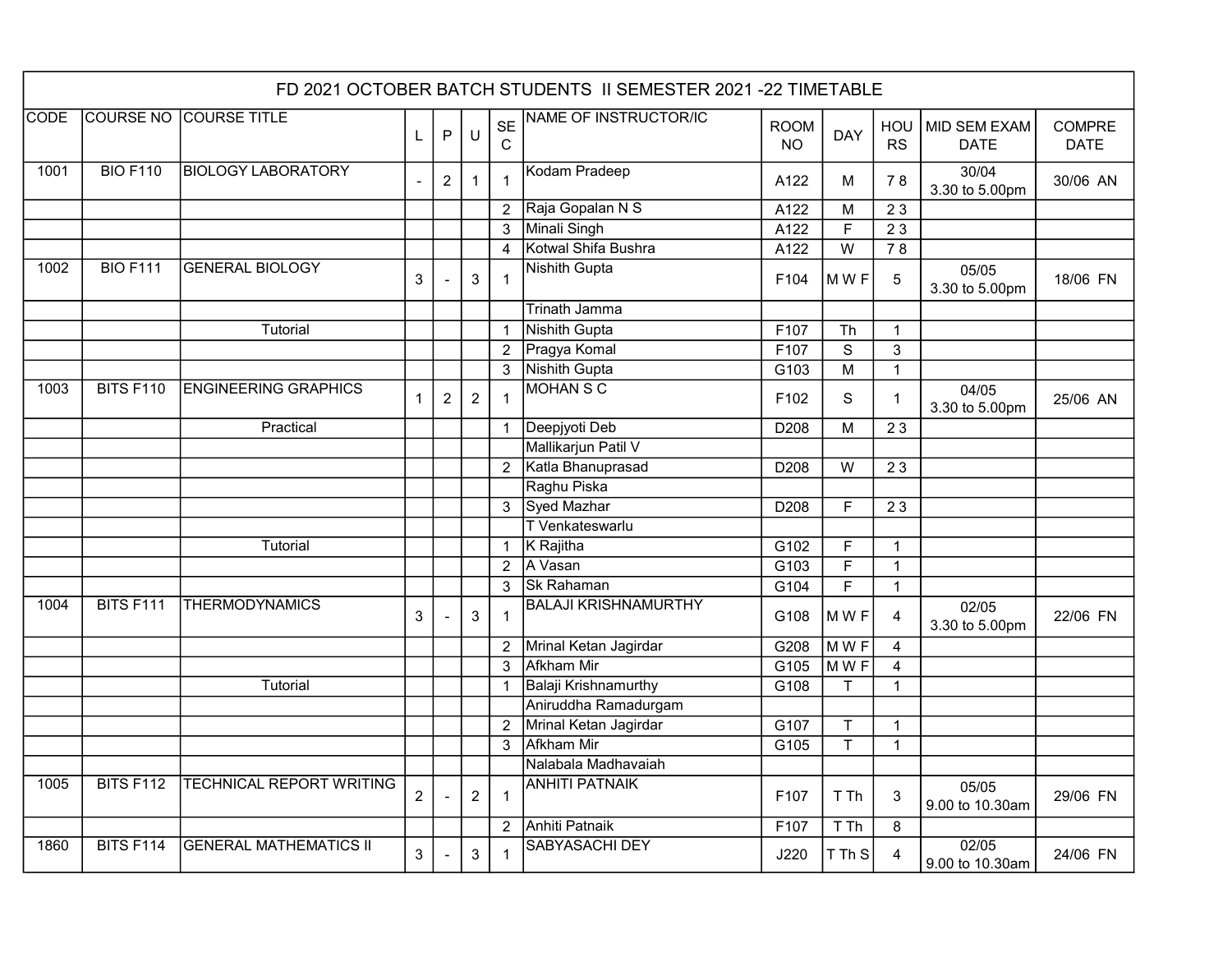|                  | FD 2021 OCTOBER BATCH STUDENTS II SEMESTER 2021 -22 TIMETABLE |                                 |                |                |                  |                          |                             |                          |                |                  |                             |                              |  |
|------------------|---------------------------------------------------------------|---------------------------------|----------------|----------------|------------------|--------------------------|-----------------------------|--------------------------|----------------|------------------|-----------------------------|------------------------------|--|
| <b>CODE</b>      | <b>COURSE NO</b>                                              | <b>COURSE TITLE</b>             | L              | P              | $\cup$           | <b>SE</b><br>$\mathsf C$ | NAME OF INSTRUCTOR/IC       | <b>ROOM</b><br><b>NO</b> | <b>DAY</b>     | HOU<br><b>RS</b> | MID SEM EXAM<br><b>DATE</b> | <b>COMPRE</b><br><b>DATE</b> |  |
| 1001             | <b>BIO F110</b>                                               | <b>BIOLOGY LABORATORY</b>       |                | $\overline{2}$ | $\mathbf{1}$     | $\overline{1}$           | Kodam Pradeep               | A122                     | м              | 78               | 30/04<br>3.30 to 5.00pm     | 30/06 AN                     |  |
|                  |                                                               |                                 |                |                |                  | $\overline{2}$           | Raja Gopalan N S            | A122                     | M              | 23               |                             |                              |  |
|                  |                                                               |                                 |                |                |                  | $\mathbf{3}$             | Minali Singh                | A122                     | F              | 23               |                             |                              |  |
|                  |                                                               |                                 |                |                |                  | $\overline{4}$           | Kotwal Shifa Bushra         | A122                     | W              | 78               |                             |                              |  |
| 1002             | <b>BIO F111</b>                                               | <b>GENERAL BIOLOGY</b>          | 3              |                | $\mathbf{3}$     |                          | Nishith Gupta               | F104                     | MWF            | 5                | 05/05<br>3.30 to 5.00pm     | 18/06 FN                     |  |
|                  |                                                               |                                 |                |                |                  |                          | <b>Trinath Jamma</b>        |                          |                |                  |                             |                              |  |
|                  |                                                               | Tutorial                        |                |                |                  | $\overline{1}$           | <b>Nishith Gupta</b>        | F107                     | Th             | $\overline{1}$   |                             |                              |  |
|                  |                                                               |                                 |                |                |                  | $\overline{2}$           | Pragya Komal                | F107                     | $\mathbf S$    | $\sqrt{3}$       |                             |                              |  |
|                  |                                                               |                                 |                |                |                  | 3                        | <b>Nishith Gupta</b>        | G103                     | M              | $\overline{1}$   |                             |                              |  |
| $\frac{1003}{2}$ | <b>BITS F110</b>                                              | <b>ENGINEERING GRAPHICS</b>     | $\mathbf 1$    | $\overline{2}$ | $\boldsymbol{2}$ | $\overline{1}$           | <b>MOHAN S C</b>            | F <sub>102</sub>         | S              | $\mathbf 1$      | 04/05<br>3.30 to 5.00pm     | 25/06 AN                     |  |
|                  |                                                               | Practical                       |                |                |                  | $\overline{1}$           | Deepjyoti Deb               | D208                     | M              | 23               |                             |                              |  |
|                  |                                                               |                                 |                |                |                  |                          | Mallikarjun Patil V         |                          |                |                  |                             |                              |  |
|                  |                                                               |                                 |                |                |                  | $\overline{2}$           | Katla Bhanuprasad           | D208                     | W              | 23               |                             |                              |  |
|                  |                                                               |                                 |                |                |                  |                          | Raghu Piska                 |                          |                |                  |                             |                              |  |
|                  |                                                               |                                 |                |                |                  | 3                        | Syed Mazhar                 | D208                     | F              | 23               |                             |                              |  |
|                  |                                                               |                                 |                |                |                  |                          | T Venkateswarlu             |                          |                |                  |                             |                              |  |
|                  |                                                               | <b>Tutorial</b>                 |                |                |                  | $\overline{1}$           | K Rajitha                   | G102                     | F              | $\mathbf 1$      |                             |                              |  |
|                  |                                                               |                                 |                |                |                  | $\overline{2}$           | A Vasan                     | G103                     | F              | $\overline{1}$   |                             |                              |  |
|                  |                                                               |                                 |                |                |                  | $\mathbf{3}$             | Sk Rahaman                  | G104                     | $\overline{F}$ | $\mathbf{1}$     |                             |                              |  |
| $\frac{1004}{ }$ | <b>BITS F111</b>                                              | <b>THERMODYNAMICS</b>           | 3              |                | $\mathbf{3}$     | $\overline{1}$           | <b>BALAJI KRISHNAMURTHY</b> | G108                     | MWF            | 4                | 02/05<br>3.30 to 5.00pm     | 22/06 FN                     |  |
|                  |                                                               |                                 |                |                |                  | $\overline{2}$           | Mrinal Ketan Jagirdar       | G208                     | MWF            | $\overline{4}$   |                             |                              |  |
|                  |                                                               |                                 |                |                |                  | 3                        | <b>Afkham Mir</b>           | G105                     | MWF            | $\overline{4}$   |                             |                              |  |
|                  |                                                               | <b>Tutorial</b>                 |                |                |                  | $\overline{1}$           | <b>Balaji Krishnamurthy</b> | G108                     | T              | $\mathbf{1}$     |                             |                              |  |
|                  |                                                               |                                 |                |                |                  |                          | Aniruddha Ramadurgam        |                          |                |                  |                             |                              |  |
|                  |                                                               |                                 |                |                |                  | $\overline{2}$           | Mrinal Ketan Jagirdar       | G107                     | T              | $\mathbf{1}$     |                             |                              |  |
|                  |                                                               |                                 |                |                |                  | 3                        | Afkham Mir                  | G105                     | T              | $\mathbf{1}$     |                             |                              |  |
|                  |                                                               |                                 |                |                |                  |                          | Nalabala Madhavaiah         |                          |                |                  |                             |                              |  |
| 1005             | <b>BITS F112</b>                                              | <b>TECHNICAL REPORT WRITING</b> | $\overline{c}$ |                | $\overline{2}$   | $\overline{1}$           | <b>ANHITI PATNAIK</b>       | F <sub>107</sub>         | T Th           | 3                | 05/05<br>9.00 to 10.30am    | 29/06 FN                     |  |
|                  |                                                               |                                 |                |                |                  | $\overline{2}$           | <b>Anhiti Patnaik</b>       | F107                     | T Th           | 8                |                             |                              |  |
| 1860             | <b>BITS F114</b>                                              | <b>GENERAL MATHEMATICS II</b>   | 3              |                | 3                | $\overline{1}$           | <b>SABYASACHI DEY</b>       | J220                     | T Th S         | 4                | 02/05<br>9.00 to 10.30am    | 24/06 FN                     |  |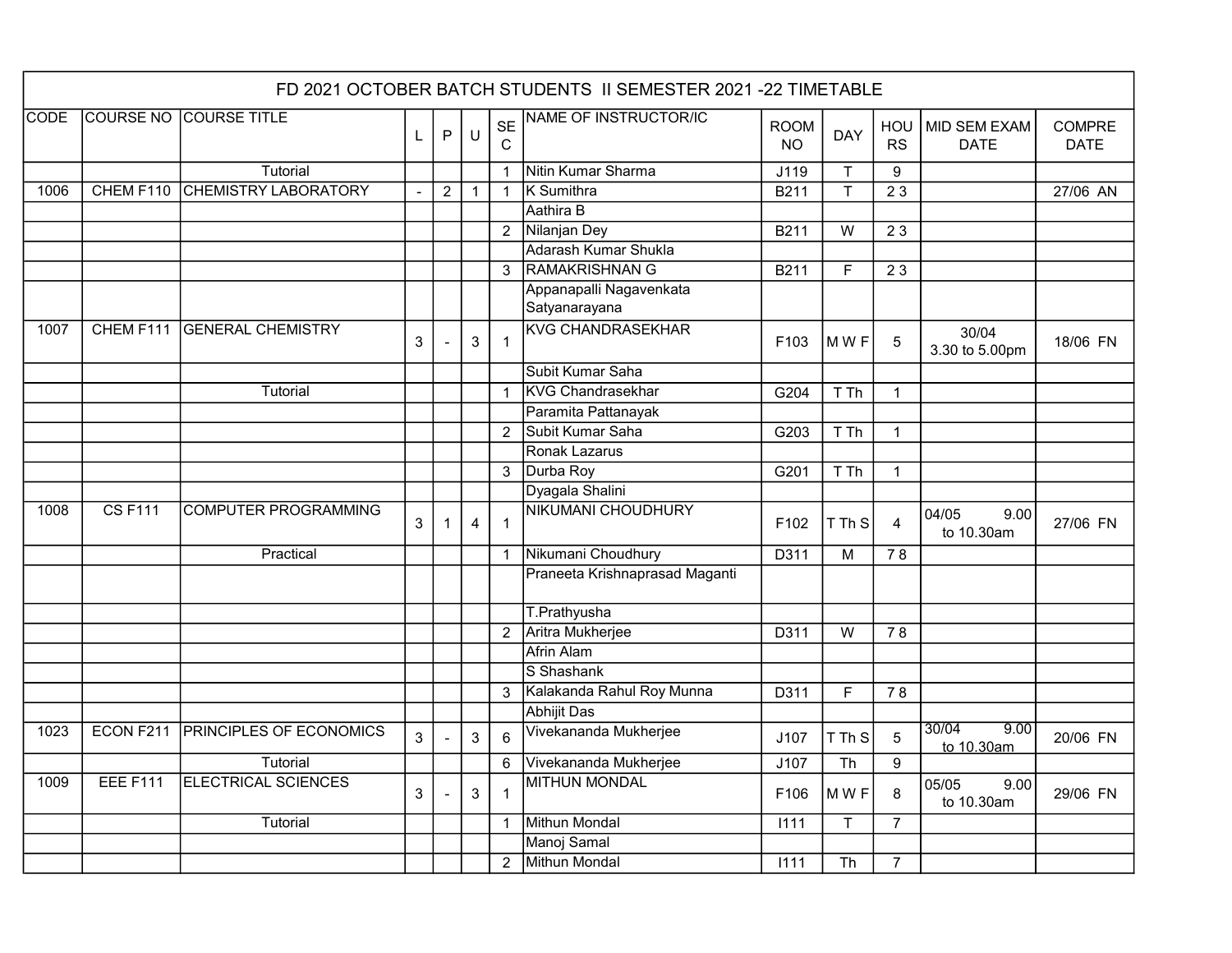| FD 2021 OCTOBER BATCH STUDENTS II SEMESTER 2021 -22 TIMETABLE |                  |                                |    |                      |                |                |                                          |                    |            |                  |                             |                              |
|---------------------------------------------------------------|------------------|--------------------------------|----|----------------------|----------------|----------------|------------------------------------------|--------------------|------------|------------------|-----------------------------|------------------------------|
| <b>CODE</b>                                                   | <b>COURSE NO</b> | <b>COURSE TITLE</b>            | L. | $\mathsf{P}$         | $\sf U$        | <b>SE</b><br>C | NAME OF INSTRUCTOR/IC                    | <b>ROOM</b><br>NO. | <b>DAY</b> | HOU<br><b>RS</b> | MID SEM EXAM<br><b>DATE</b> | <b>COMPRE</b><br><b>DATE</b> |
|                                                               |                  | Tutorial                       |    |                      |                | $\mathbf{1}$   | Nitin Kumar Sharma                       | J119               | Τ          | 9                |                             |                              |
| 1006                                                          | CHEM F110        | <b>CHEMISTRY LABORATORY</b>    |    | $\overline{2}$       | $\mathbf{1}$   | $\mathbf{1}$   | <b>K</b> Sumithra                        | B211               | T          | 23               |                             | 27/06 AN                     |
|                                                               |                  |                                |    |                      |                |                | Aathira B                                |                    |            |                  |                             |                              |
|                                                               |                  |                                |    |                      |                | $\overline{2}$ | Nilanjan Dey                             | B211               | W          | 23               |                             |                              |
|                                                               |                  |                                |    |                      |                |                | Adarash Kumar Shukla                     |                    |            |                  |                             |                              |
|                                                               |                  |                                |    |                      |                | 3              | <b>RAMAKRISHNAN G</b>                    | B211               | F          | 23               |                             |                              |
|                                                               |                  |                                |    |                      |                |                | Appanapalli Nagavenkata<br>Satyanarayana |                    |            |                  |                             |                              |
| 1007                                                          | CHEM F111        | <b>GENERAL CHEMISTRY</b>       | 3  |                      | 3              | $\overline{1}$ | <b>KVG CHANDRASEKHAR</b>                 | F103               | MWF        | 5                | 30/04<br>3.30 to 5.00pm     | 18/06 FN                     |
|                                                               |                  |                                |    |                      |                |                | Subit Kumar Saha                         |                    |            |                  |                             |                              |
|                                                               |                  | Tutorial                       |    |                      |                | $\mathbf{1}$   | <b>KVG Chandrasekhar</b>                 | G204               | T Th       | $\mathbf{1}$     |                             |                              |
|                                                               |                  |                                |    |                      |                |                | Paramita Pattanayak                      |                    |            |                  |                             |                              |
|                                                               |                  |                                |    |                      |                | $\mathcal{P}$  | Subit Kumar Saha                         | G203               | T Th       | $\mathbf{1}$     |                             |                              |
|                                                               |                  |                                |    |                      |                |                | Ronak Lazarus                            |                    |            |                  |                             |                              |
|                                                               |                  |                                |    |                      |                | 3              | Durba Roy                                | G201               | T Th       | $\mathbf 1$      |                             |                              |
|                                                               |                  |                                |    |                      |                |                | Dyagala Shalini                          |                    |            |                  |                             |                              |
| 1008                                                          | <b>CSF111</b>    | <b>COMPUTER PROGRAMMING</b>    | 3  | $\blacktriangleleft$ | $\overline{4}$ | $\overline{1}$ | <b>NIKUMANI CHOUDHURY</b>                | F102               | T Th S     | 4                | 04/05<br>9.00<br>to 10.30am | 27/06 FN                     |
|                                                               |                  | Practical                      |    |                      |                | $\overline{1}$ | Nikumani Choudhury                       | D311               | M          | 78               |                             |                              |
|                                                               |                  |                                |    |                      |                |                | Praneeta Krishnaprasad Maganti           |                    |            |                  |                             |                              |
|                                                               |                  |                                |    |                      |                |                | T.Prathyusha                             |                    |            |                  |                             |                              |
|                                                               |                  |                                |    |                      |                | $\overline{2}$ | Aritra Mukherjee                         | D311               | W          | 78               |                             |                              |
|                                                               |                  |                                |    |                      |                |                | <b>Afrin Alam</b>                        |                    |            |                  |                             |                              |
|                                                               |                  |                                |    |                      |                |                | S Shashank                               |                    |            |                  |                             |                              |
|                                                               |                  |                                |    |                      |                | 3              | Kalakanda Rahul Roy Munna                | D311               | F          | 78               |                             |                              |
|                                                               |                  |                                |    |                      |                |                | <b>Abhijit Das</b>                       |                    |            |                  |                             |                              |
| 1023                                                          | ECON F211        | <b>PRINCIPLES OF ECONOMICS</b> | 3  |                      | 3              | $6\phantom{1}$ | Vivekananda Mukherjee                    | J107               | T Th S     | 5                | 30/04<br>9.00<br>to 10.30am | 20/06 FN                     |
|                                                               |                  | Tutorial                       |    |                      |                | $\,6\,$        | Vivekananda Mukherjee                    | J107               | Th         | $\boldsymbol{9}$ |                             |                              |
| 1009                                                          | EEE F111         | <b>ELECTRICAL SCIENCES</b>     | 3  |                      | 3              | $\mathbf{1}$   | <b>MITHUN MONDAL</b>                     | F <sub>106</sub>   | MWF        | 8                | 05/05<br>9.00<br>to 10.30am | 29/06 FN                     |
|                                                               |                  | Tutorial                       |    |                      |                | $\overline{1}$ | <b>Mithun Mondal</b>                     | 1111               | T          | $\overline{7}$   |                             |                              |
|                                                               |                  |                                |    |                      |                |                | Manoj Samal                              |                    |            |                  |                             |                              |
|                                                               |                  |                                |    |                      |                | $\overline{2}$ | Mithun Mondal                            | 1111               | Th         | $\overline{7}$   |                             |                              |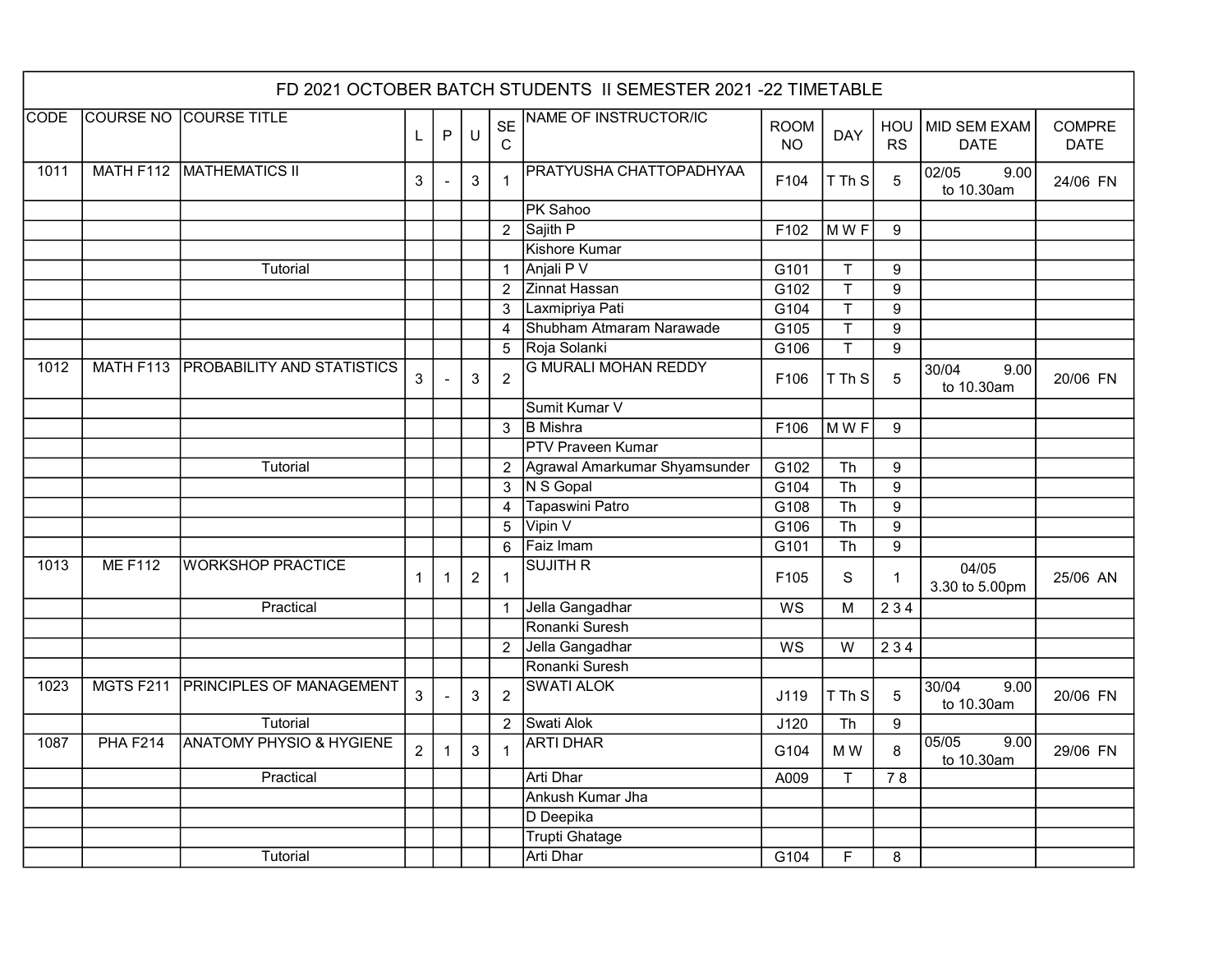|             | FD 2021 OCTOBER BATCH STUDENTS II SEMESTER 2021 -22 TIMETABLE |                                      |                |                |                |                          |                               |                          |                        |                  |                             |                              |  |
|-------------|---------------------------------------------------------------|--------------------------------------|----------------|----------------|----------------|--------------------------|-------------------------------|--------------------------|------------------------|------------------|-----------------------------|------------------------------|--|
| <b>CODE</b> |                                                               | <b>COURSE NO COURSE TITLE</b>        | L              | P              | $\sf U$        | <b>SE</b><br>$\mathbf C$ | <b>NAME OF INSTRUCTOR/IC</b>  | <b>ROOM</b><br><b>NO</b> | <b>DAY</b>             | HOU<br><b>RS</b> | MID SEM EXAM<br><b>DATE</b> | <b>COMPRE</b><br><b>DATE</b> |  |
| 1011        |                                                               | MATH F112 MATHEMATICS II             | 3              |                | 3              | $\mathbf{1}$             | PRATYUSHA CHATTOPADHYAA       | F <sub>104</sub>         | T Th S                 | 5                | 02/05<br>9.00<br>to 10.30am | 24/06 FN                     |  |
|             |                                                               |                                      |                |                |                |                          | PK Sahoo                      |                          |                        |                  |                             |                              |  |
|             |                                                               |                                      |                |                |                | $\overline{2}$           | Sajith P                      | F102                     | MWF                    | 9                |                             |                              |  |
|             |                                                               |                                      |                |                |                |                          | <b>Kishore Kumar</b>          |                          |                        |                  |                             |                              |  |
|             |                                                               | Tutorial                             |                |                |                | $\overline{1}$           | Anjali P V                    | G101                     | $\mathsf{T}$           | $\boldsymbol{9}$ |                             |                              |  |
|             |                                                               |                                      |                |                |                | $\overline{2}$           | Zinnat Hassan                 | G102                     | T                      | 9                |                             |                              |  |
|             |                                                               |                                      |                |                |                | 3                        | Laxmipriya Pati               | G104                     | T                      | $\boldsymbol{9}$ |                             |                              |  |
|             |                                                               |                                      |                |                |                | $\overline{4}$           | Shubham Atmaram Narawade      | G105                     | т                      | 9                |                             |                              |  |
|             |                                                               |                                      |                |                |                | $\overline{5}$           | Roja Solanki                  | G106                     | $\mathsf{T}$           | 9                |                             |                              |  |
| 1012        |                                                               | MATH F113 PROBABILITY AND STATISTICS | 3              |                | 3              | $\overline{2}$           | <b>G MURALI MOHAN REDDY</b>   | F106                     | T Th S                 | 5                | 30/04<br>9.00<br>to 10.30am | 20/06 FN                     |  |
|             |                                                               |                                      |                |                |                |                          | Sumit Kumar V                 |                          |                        |                  |                             |                              |  |
|             |                                                               |                                      |                |                |                | 3                        | <b>B</b> Mishra               | F106                     | MWF                    | 9                |                             |                              |  |
|             |                                                               |                                      |                |                |                |                          | <b>PTV Praveen Kumar</b>      |                          |                        |                  |                             |                              |  |
|             |                                                               | Tutorial                             |                |                |                | $\overline{2}$           | Agrawal Amarkumar Shyamsunder | G102                     | Th                     | $\boldsymbol{9}$ |                             |                              |  |
|             |                                                               |                                      |                |                |                | $\mathbf{3}$             | N S Gopal                     | G104                     | $\overline{\text{Th}}$ | 9                |                             |                              |  |
|             |                                                               |                                      |                |                |                | $\overline{4}$           | Tapaswini Patro               | G108                     | $\overline{\text{Th}}$ | $\boldsymbol{9}$ |                             |                              |  |
|             |                                                               |                                      |                |                |                | $\overline{5}$           | Vipin V                       | G106                     | Th                     | $\boldsymbol{9}$ |                             |                              |  |
|             |                                                               |                                      |                |                |                | 6                        | Faiz Imam                     | G101                     | Th                     | 9                |                             |                              |  |
| 1013        | <b>MEF112</b>                                                 | <b>WORKSHOP PRACTICE</b>             | $\mathbf{1}$   | $\mathbf 1$    | $\overline{2}$ | $\overline{1}$           | <b>SUJITH R</b>               | F105                     | S                      | $\mathbf 1$      | 04/05<br>3.30 to 5.00pm     | 25/06 AN                     |  |
|             |                                                               | Practical                            |                |                |                | $\mathbf{1}$             | Jella Gangadhar               | WS                       | M                      | 234              |                             |                              |  |
|             |                                                               |                                      |                |                |                |                          | Ronanki Suresh                |                          |                        |                  |                             |                              |  |
|             |                                                               |                                      |                |                |                | $\overline{2}$           | Jella Gangadhar               | WS                       | W                      | 234              |                             |                              |  |
|             |                                                               |                                      |                |                |                |                          | Ronanki Suresh                |                          |                        |                  |                             |                              |  |
| 1023        | MGTS F211                                                     | <b>PRINCIPLES OF MANAGEMENT</b>      | $\mathbf{3}$   |                | 3              | $\overline{2}$           | <b>SWATI ALOK</b>             | J119                     | T Th S                 | 5                | 30/04<br>9.00<br>to 10.30am | 20/06 FN                     |  |
|             |                                                               | Tutorial                             |                |                |                | $\overline{2}$           | Swati Alok                    | J120                     | Th                     | $\boldsymbol{9}$ |                             |                              |  |
| 1087        | <b>PHA F214</b>                                               | <b>ANATOMY PHYSIO &amp; HYGIENE</b>  | $\overline{2}$ | $\overline{1}$ | $\mathbf{3}$   | $\overline{1}$           | <b>ARTI DHAR</b>              | G104                     | M W                    | 8                | 05/05<br>9.00<br>to 10.30am | 29/06 FN                     |  |
|             |                                                               | Practical                            |                |                |                |                          | <b>Arti Dhar</b>              | A009                     | T                      | 78               |                             |                              |  |
|             |                                                               |                                      |                |                |                |                          | Ankush Kumar Jha              |                          |                        |                  |                             |                              |  |
|             |                                                               |                                      |                |                |                |                          | D Deepika                     |                          |                        |                  |                             |                              |  |
|             |                                                               |                                      |                |                |                |                          | <b>Trupti Ghatage</b>         |                          |                        |                  |                             |                              |  |
|             |                                                               | Tutorial                             |                |                |                |                          | <b>Arti Dhar</b>              | G104                     | F                      | 8                |                             |                              |  |